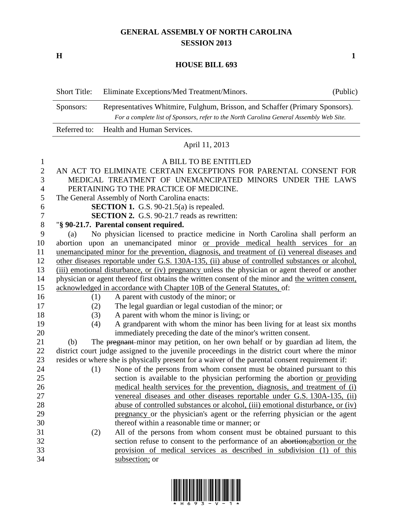## **GENERAL ASSEMBLY OF NORTH CAROLINA SESSION 2013**

**H 1**

## **HOUSE BILL 693**

| <b>Short Title:</b> | Eliminate Exceptions/Med Treatment/Minors.                                                                                                                              | (Public) |
|---------------------|-------------------------------------------------------------------------------------------------------------------------------------------------------------------------|----------|
| Sponsors:           | Representatives Whitmire, Fulghum, Brisson, and Schaffer (Primary Sponsors).<br>For a complete list of Sponsors, refer to the North Carolina General Assembly Web Site. |          |
|                     | Referred to: Health and Human Services.                                                                                                                                 |          |

## April 11, 2013

## A BILL TO BE ENTITLED AN ACT TO ELIMINATE CERTAIN EXCEPTIONS FOR PARENTAL CONSENT FOR MEDICAL TREATMENT OF UNEMANCIPATED MINORS UNDER THE LAWS PERTAINING TO THE PRACTICE OF MEDICINE. The General Assembly of North Carolina enacts: **SECTION 1.** G.S. 90-21.5(a) is repealed. **SECTION 2.** G.S. 90-21.7 reads as rewritten: "**§ 90-21.7. Parental consent required.** (a) No physician licensed to practice medicine in North Carolina shall perform an abortion upon an unemancipated minor or provide medical health services for an unemancipated minor for the prevention, diagnosis, and treatment of (i) venereal diseases and other diseases reportable under G.S. 130A-135, (ii) abuse of controlled substances or alcohol, (iii) emotional disturbance, or (iv) pregnancy unless the physician or agent thereof or another physician or agent thereof first obtains the written consent of the minor and the written consent, acknowledged in accordance with Chapter 10B of the General Statutes, of: (1) A parent with custody of the minor; or (2) The legal guardian or legal custodian of the minor; or 18 (3) A parent with whom the minor is living; or (4) A grandparent with whom the minor has been living for at least six months immediately preceding the date of the minor's written consent. (b) The pregnant minor may petition, on her own behalf or by guardian ad litem, the district court judge assigned to the juvenile proceedings in the district court where the minor resides or where she is physically present for a waiver of the parental consent requirement if: (1) None of the persons from whom consent must be obtained pursuant to this section is available to the physician performing the abortion or providing medical health services for the prevention, diagnosis, and treatment of (i) venereal diseases and other diseases reportable under G.S. 130A-135, (ii) abuse of controlled substances or alcohol, (iii) emotional disturbance, or (iv) pregnancy or the physician's agent or the referring physician or the agent thereof within a reasonable time or manner; or (2) All of the persons from whom consent must be obtained pursuant to this 32 section refuse to consent to the performance of an abortion; abortion or the provision of medical services as described in subdivision (1) of this subsection; or